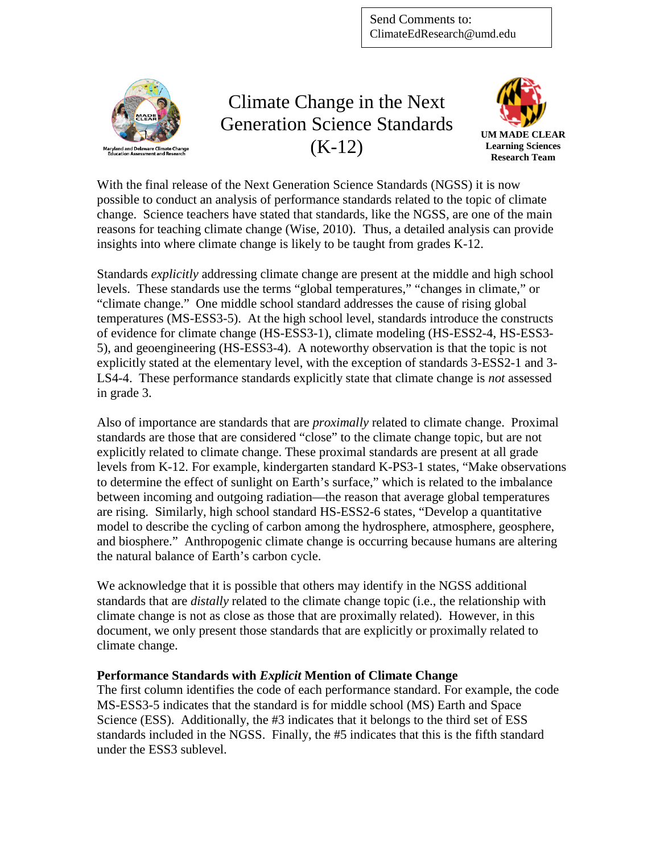

Climate Change in the Next Generation Science Standards (K-12)



With the final release of the Next Generation Science Standards (NGSS) it is now possible to conduct an analysis of performance standards related to the topic of climate change. Science teachers have stated that standards, like the NGSS, are one of the main reasons for teaching climate change (Wise, 2010). Thus, a detailed analysis can provide insights into where climate change is likely to be taught from grades K-12.

Standards *explicitly* addressing climate change are present at the middle and high school levels. These standards use the terms "global temperatures," "changes in climate," or "climate change." One middle school standard addresses the cause of rising global temperatures (MS-ESS3-5). At the high school level, standards introduce the constructs of evidence for climate change (HS-ESS3-1), climate modeling (HS-ESS2-4, HS-ESS3- 5), and geoengineering (HS-ESS3-4). A noteworthy observation is that the topic is not explicitly stated at the elementary level, with the exception of standards 3-ESS2-1 and 3- LS4-4. These performance standards explicitly state that climate change is *not* assessed in grade 3.

Also of importance are standards that are *proximally* related to climate change. Proximal standards are those that are considered "close" to the climate change topic, but are not explicitly related to climate change. These proximal standards are present at all grade levels from K-12. For example, kindergarten standard K-PS3-1 states, "Make observations to determine the effect of sunlight on Earth's surface," which is related to the imbalance between incoming and outgoing radiation—the reason that average global temperatures are rising. Similarly, high school standard HS-ESS2-6 states, "Develop a quantitative model to describe the cycling of carbon among the hydrosphere, atmosphere, geosphere, and biosphere." Anthropogenic climate change is occurring because humans are altering the natural balance of Earth's carbon cycle.

We acknowledge that it is possible that others may identify in the NGSS additional standards that are *distally* related to the climate change topic (i.e., the relationship with climate change is not as close as those that are proximally related). However, in this document, we only present those standards that are explicitly or proximally related to climate change.

## **Performance Standards with** *Explicit* **Mention of Climate Change**

The first column identifies the code of each performance standard. For example, the code MS-ESS3-5 indicates that the standard is for middle school (MS) Earth and Space Science (ESS). Additionally, the #3 indicates that it belongs to the third set of ESS standards included in the NGSS. Finally, the #5 indicates that this is the fifth standard under the ESS3 sublevel.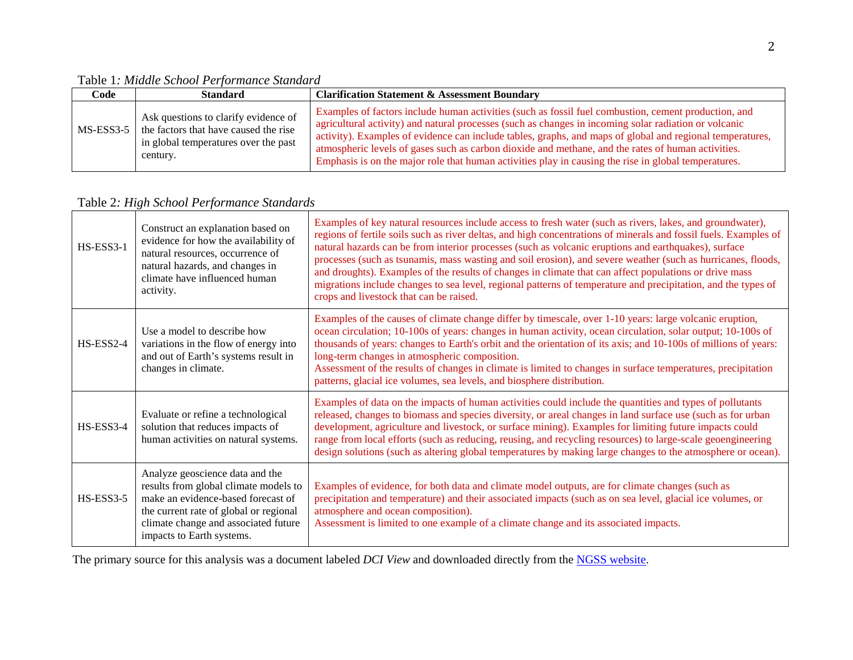Table 1*: Middle School Performance Standard* 

| Code      | <b>Standard</b>                                                                                                                   | <b>Clarification Statement &amp; Assessment Boundary</b>                                                                                                                                                                                                                                                                                                                                                                                                                                                                                 |
|-----------|-----------------------------------------------------------------------------------------------------------------------------------|------------------------------------------------------------------------------------------------------------------------------------------------------------------------------------------------------------------------------------------------------------------------------------------------------------------------------------------------------------------------------------------------------------------------------------------------------------------------------------------------------------------------------------------|
| MS-ESS3-5 | Ask questions to clarify evidence of<br>the factors that have caused the rise<br>in global temperatures over the past<br>century. | Examples of factors include human activities (such as fossil fuel combustion, cement production, and<br>agricultural activity) and natural processes (such as changes in incoming solar radiation or volcanic<br>activity). Examples of evidence can include tables, graphs, and maps of global and regional temperatures,<br>atmospheric levels of gases such as carbon dioxide and methane, and the rates of human activities.<br>Emphasis is on the major role that human activities play in causing the rise in global temperatures. |

Table 2*: High School Performance Standards* 

| HS-ESS3-1   | Construct an explanation based on<br>evidence for how the availability of<br>natural resources, occurrence of<br>natural hazards, and changes in<br>climate have influenced human<br>activity.                                | Examples of key natural resources include access to fresh water (such as rivers, lakes, and groundwater),<br>regions of fertile soils such as river deltas, and high concentrations of minerals and fossil fuels. Examples of<br>natural hazards can be from interior processes (such as volcanic eruptions and earthquakes), surface<br>processes (such as tsunamis, mass wasting and soil erosion), and severe weather (such as hurricanes, floods,<br>and droughts). Examples of the results of changes in climate that can affect populations or drive mass<br>migrations include changes to sea level, regional patterns of temperature and precipitation, and the types of<br>crops and livestock that can be raised. |
|-------------|-------------------------------------------------------------------------------------------------------------------------------------------------------------------------------------------------------------------------------|-----------------------------------------------------------------------------------------------------------------------------------------------------------------------------------------------------------------------------------------------------------------------------------------------------------------------------------------------------------------------------------------------------------------------------------------------------------------------------------------------------------------------------------------------------------------------------------------------------------------------------------------------------------------------------------------------------------------------------|
| HS-ESS2-4   | Use a model to describe how<br>variations in the flow of energy into<br>and out of Earth's systems result in<br>changes in climate.                                                                                           | Examples of the causes of climate change differ by timescale, over 1-10 years: large volcanic eruption,<br>ocean circulation; 10-100s of years: changes in human activity, ocean circulation, solar output; 10-100s of<br>thousands of years: changes to Earth's orbit and the orientation of its axis; and 10-100s of millions of years:<br>long-term changes in atmospheric composition.<br>Assessment of the results of changes in climate is limited to changes in surface temperatures, precipitation<br>patterns, glacial ice volumes, sea levels, and biosphere distribution.                                                                                                                                        |
| HS-ESS3-4   | Evaluate or refine a technological<br>solution that reduces impacts of<br>human activities on natural systems.                                                                                                                | Examples of data on the impacts of human activities could include the quantities and types of pollutants<br>released, changes to biomass and species diversity, or areal changes in land surface use (such as for urban<br>development, agriculture and livestock, or surface mining). Examples for limiting future impacts could<br>range from local efforts (such as reducing, reusing, and recycling resources) to large-scale geoengineering<br>design solutions (such as altering global temperatures by making large changes to the atmosphere or ocean).                                                                                                                                                             |
| $HS-ESS3-5$ | Analyze geoscience data and the<br>results from global climate models to<br>make an evidence-based forecast of<br>the current rate of global or regional<br>climate change and associated future<br>impacts to Earth systems. | Examples of evidence, for both data and climate model outputs, are for climate changes (such as<br>precipitation and temperature) and their associated impacts (such as on sea level, glacial ice volumes, or<br>atmosphere and ocean composition).<br>Assessment is limited to one example of a climate change and its associated impacts.                                                                                                                                                                                                                                                                                                                                                                                 |

The primary source for this analysis was a document labeled *DCI View* and downloaded directly from the **NGSS** website.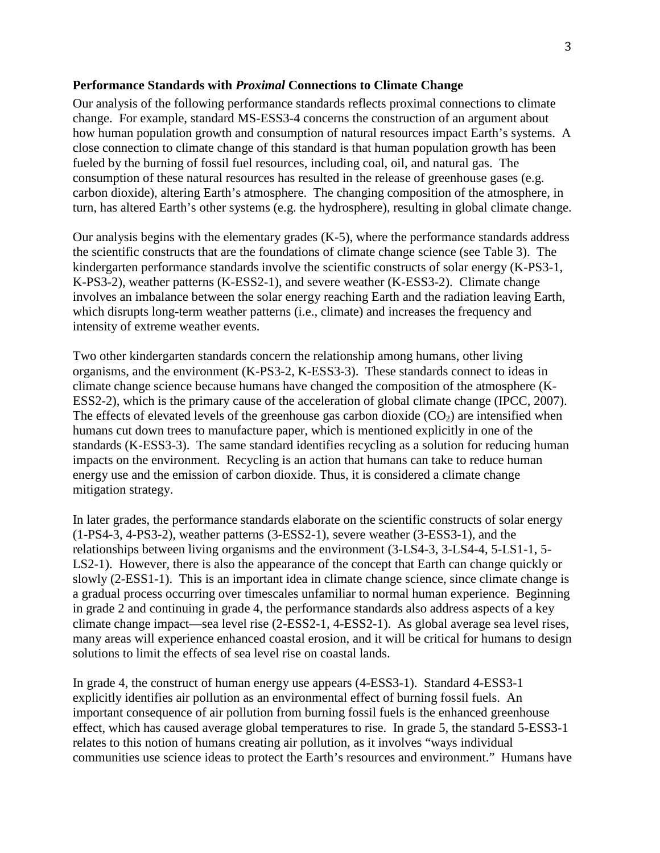## **Performance Standards with** *Proximal* **Connections to Climate Change**

Our analysis of the following performance standards reflects proximal connections to climate change. For example, standard MS-ESS3-4 concerns the construction of an argument about how human population growth and consumption of natural resources impact Earth's systems. A close connection to climate change of this standard is that human population growth has been fueled by the burning of fossil fuel resources, including coal, oil, and natural gas. The consumption of these natural resources has resulted in the release of greenhouse gases (e.g. carbon dioxide), altering Earth's atmosphere. The changing composition of the atmosphere, in turn, has altered Earth's other systems (e.g. the hydrosphere), resulting in global climate change.

Our analysis begins with the elementary grades (K-5), where the performance standards address the scientific constructs that are the foundations of climate change science (see Table 3). The kindergarten performance standards involve the scientific constructs of solar energy (K-PS3-1, K-PS3-2), weather patterns (K-ESS2-1), and severe weather (K-ESS3-2). Climate change involves an imbalance between the solar energy reaching Earth and the radiation leaving Earth, which disrupts long-term weather patterns (i.e., climate) and increases the frequency and intensity of extreme weather events.

Two other kindergarten standards concern the relationship among humans, other living organisms, and the environment (K-PS3-2, K-ESS3-3). These standards connect to ideas in climate change science because humans have changed the composition of the atmosphere (K-ESS2-2), which is the primary cause of the acceleration of global climate change (IPCC, 2007). The effects of elevated levels of the greenhouse gas carbon dioxide  $(CO<sub>2</sub>)$  are intensified when humans cut down trees to manufacture paper, which is mentioned explicitly in one of the standards (K-ESS3-3). The same standard identifies recycling as a solution for reducing human impacts on the environment. Recycling is an action that humans can take to reduce human energy use and the emission of carbon dioxide. Thus, it is considered a climate change mitigation strategy.

In later grades, the performance standards elaborate on the scientific constructs of solar energy (1-PS4-3, 4-PS3-2), weather patterns (3-ESS2-1), severe weather (3-ESS3-1), and the relationships between living organisms and the environment (3-LS4-3, 3-LS4-4, 5-LS1-1, 5- LS2-1). However, there is also the appearance of the concept that Earth can change quickly or slowly (2-ESS1-1). This is an important idea in climate change science, since climate change is a gradual process occurring over timescales unfamiliar to normal human experience. Beginning in grade 2 and continuing in grade 4, the performance standards also address aspects of a key climate change impact—sea level rise (2-ESS2-1, 4-ESS2-1). As global average sea level rises, many areas will experience enhanced coastal erosion, and it will be critical for humans to design solutions to limit the effects of sea level rise on coastal lands.

In grade 4, the construct of human energy use appears (4-ESS3-1). Standard 4-ESS3-1 explicitly identifies air pollution as an environmental effect of burning fossil fuels. An important consequence of air pollution from burning fossil fuels is the enhanced greenhouse effect, which has caused average global temperatures to rise. In grade 5, the standard 5-ESS3-1 relates to this notion of humans creating air pollution, as it involves "ways individual communities use science ideas to protect the Earth's resources and environment." Humans have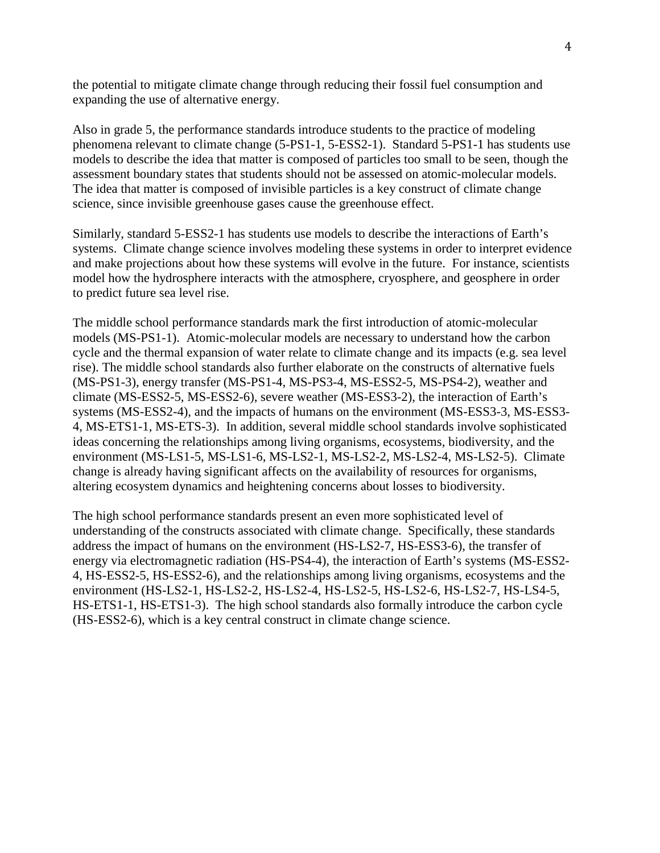the potential to mitigate climate change through reducing their fossil fuel consumption and expanding the use of alternative energy.

Also in grade 5, the performance standards introduce students to the practice of modeling phenomena relevant to climate change (5-PS1-1, 5-ESS2-1). Standard 5-PS1-1 has students use models to describe the idea that matter is composed of particles too small to be seen, though the assessment boundary states that students should not be assessed on atomic-molecular models. The idea that matter is composed of invisible particles is a key construct of climate change science, since invisible greenhouse gases cause the greenhouse effect.

Similarly, standard 5-ESS2-1 has students use models to describe the interactions of Earth's systems. Climate change science involves modeling these systems in order to interpret evidence and make projections about how these systems will evolve in the future. For instance, scientists model how the hydrosphere interacts with the atmosphere, cryosphere, and geosphere in order to predict future sea level rise.

The middle school performance standards mark the first introduction of atomic-molecular models (MS-PS1-1). Atomic-molecular models are necessary to understand how the carbon cycle and the thermal expansion of water relate to climate change and its impacts (e.g. sea level rise). The middle school standards also further elaborate on the constructs of alternative fuels (MS-PS1-3), energy transfer (MS-PS1-4, MS-PS3-4, MS-ESS2-5, MS-PS4-2), weather and climate (MS-ESS2-5, MS-ESS2-6), severe weather (MS-ESS3-2), the interaction of Earth's systems (MS-ESS2-4), and the impacts of humans on the environment (MS-ESS3-3, MS-ESS3- 4, MS-ETS1-1, MS-ETS-3). In addition, several middle school standards involve sophisticated ideas concerning the relationships among living organisms, ecosystems, biodiversity, and the environment (MS-LS1-5, MS-LS1-6, MS-LS2-1, MS-LS2-2, MS-LS2-4, MS-LS2-5). Climate change is already having significant affects on the availability of resources for organisms, altering ecosystem dynamics and heightening concerns about losses to biodiversity.

The high school performance standards present an even more sophisticated level of understanding of the constructs associated with climate change. Specifically, these standards address the impact of humans on the environment (HS-LS2-7, HS-ESS3-6), the transfer of energy via electromagnetic radiation (HS-PS4-4), the interaction of Earth's systems (MS-ESS2- 4, HS-ESS2-5, HS-ESS2-6), and the relationships among living organisms, ecosystems and the environment (HS-LS2-1, HS-LS2-2, HS-LS2-4, HS-LS2-5, HS-LS2-6, HS-LS2-7, HS-LS4-5, HS-ETS1-1, HS-ETS1-3). The high school standards also formally introduce the carbon cycle (HS-ESS2-6), which is a key central construct in climate change science.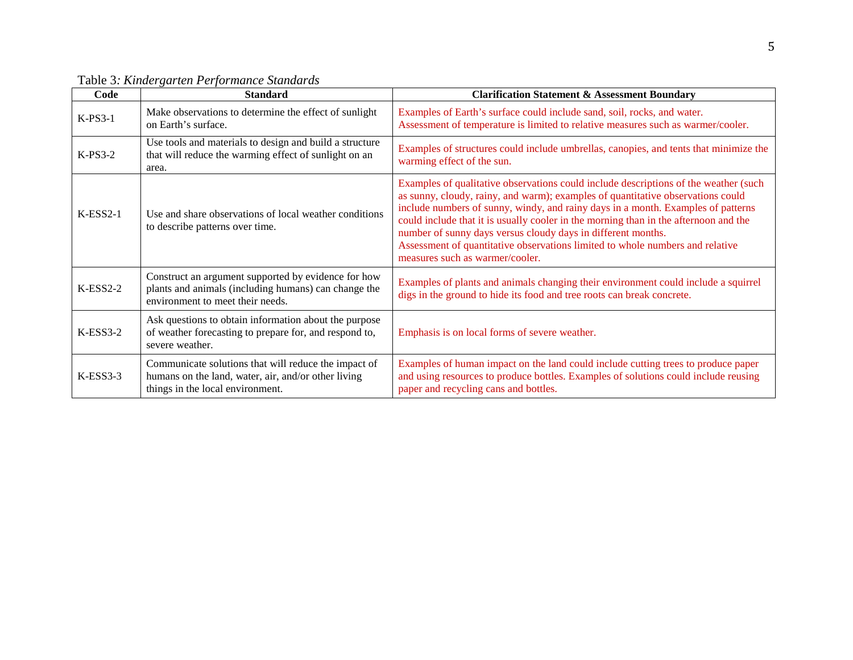| Code       | <b>Standard</b>                                                                                                                                 | <b>Clarification Statement &amp; Assessment Boundary</b>                                                                                                                                                                                                                                                                                                                                                                                                                                                                                |
|------------|-------------------------------------------------------------------------------------------------------------------------------------------------|-----------------------------------------------------------------------------------------------------------------------------------------------------------------------------------------------------------------------------------------------------------------------------------------------------------------------------------------------------------------------------------------------------------------------------------------------------------------------------------------------------------------------------------------|
| $K-PS3-1$  | Make observations to determine the effect of sunlight<br>on Earth's surface.                                                                    | Examples of Earth's surface could include sand, soil, rocks, and water.<br>Assessment of temperature is limited to relative measures such as warmer/cooler.                                                                                                                                                                                                                                                                                                                                                                             |
| $K-PS3-2$  | Use tools and materials to design and build a structure<br>that will reduce the warming effect of sunlight on an<br>area.                       | Examples of structures could include umbrellas, canopies, and tents that minimize the<br>warming effect of the sun.                                                                                                                                                                                                                                                                                                                                                                                                                     |
| $K-ESS2-1$ | Use and share observations of local weather conditions<br>to describe patterns over time.                                                       | Examples of qualitative observations could include descriptions of the weather (such<br>as sunny, cloudy, rainy, and warm); examples of quantitative observations could<br>include numbers of sunny, windy, and rainy days in a month. Examples of patterns<br>could include that it is usually cooler in the morning than in the afternoon and the<br>number of sunny days versus cloudy days in different months.<br>Assessment of quantitative observations limited to whole numbers and relative<br>measures such as warmer/cooler. |
| $K-ESS2-2$ | Construct an argument supported by evidence for how<br>plants and animals (including humans) can change the<br>environment to meet their needs. | Examples of plants and animals changing their environment could include a squirrel<br>digs in the ground to hide its food and tree roots can break concrete.                                                                                                                                                                                                                                                                                                                                                                            |
| $K-ESS3-2$ | Ask questions to obtain information about the purpose<br>of weather forecasting to prepare for, and respond to,<br>severe weather.              | Emphasis is on local forms of severe weather.                                                                                                                                                                                                                                                                                                                                                                                                                                                                                           |
| $K-ESS3-3$ | Communicate solutions that will reduce the impact of<br>humans on the land, water, air, and/or other living<br>things in the local environment. | Examples of human impact on the land could include cutting trees to produce paper<br>and using resources to produce bottles. Examples of solutions could include reusing<br>paper and recycling cans and bottles.                                                                                                                                                                                                                                                                                                                       |

Table 3*: Kindergarten Performance Standards*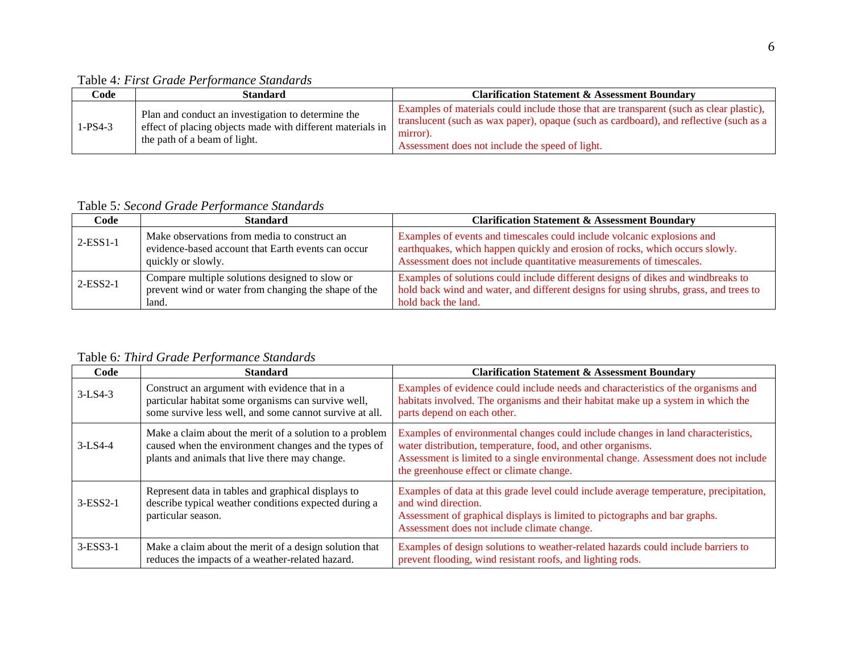Table 4*: First Grade Performance Standards*

| Code      | Standard                                                                                                                                         | <b>Clarification Statement &amp; Assessment Boundary</b>                                                                                                                                                                                         |
|-----------|--------------------------------------------------------------------------------------------------------------------------------------------------|--------------------------------------------------------------------------------------------------------------------------------------------------------------------------------------------------------------------------------------------------|
| $1-PS4-3$ | Plan and conduct an investigation to determine the<br>effect of placing objects made with different materials in<br>the path of a beam of light. | Examples of materials could include those that are transparent (such as clear plastic),<br>translucent (such as wax paper), opaque (such as cardboard), and reflective (such as a<br>mirror).<br>Assessment does not include the speed of light. |

Table 5*: Second Grade Performance Standards*

| Code            | <b>Standard</b>                                                                                                          | <b>Clarification Statement &amp; Assessment Boundary</b>                                                                                                                                                                        |
|-----------------|--------------------------------------------------------------------------------------------------------------------------|---------------------------------------------------------------------------------------------------------------------------------------------------------------------------------------------------------------------------------|
| $2$ -ESS $1$ -1 | Make observations from media to construct an<br>evidence-based account that Earth events can occur<br>quickly or slowly. | Examples of events and timescales could include volcanic explosions and<br>earthquakes, which happen quickly and erosion of rocks, which occurs slowly.<br>Assessment does not include quantitative measurements of timescales. |
| $2$ -ESS $2$ -1 | Compare multiple solutions designed to slow or<br>prevent wind or water from changing the shape of the<br>land.          | Examples of solutions could include different designs of dikes and windbreaks to<br>hold back wind and water, and different designs for using shrubs, grass, and trees to<br>hold back the land.                                |

Table 6*: Third Grade Performance Standards*

| Code       | <b>Standard</b>                                                                                                                                                   | <b>Clarification Statement &amp; Assessment Boundary</b>                                                                                                                                                                                                                           |
|------------|-------------------------------------------------------------------------------------------------------------------------------------------------------------------|------------------------------------------------------------------------------------------------------------------------------------------------------------------------------------------------------------------------------------------------------------------------------------|
| $3-LS4-3$  | Construct an argument with evidence that in a<br>particular habitat some organisms can survive well,<br>some survive less well, and some cannot survive at all.   | Examples of evidence could include needs and characteristics of the organisms and<br>habitats involved. The organisms and their habitat make up a system in which the<br>parts depend on each other.                                                                               |
| $3-LS4-4$  | Make a claim about the merit of a solution to a problem<br>caused when the environment changes and the types of<br>plants and animals that live there may change. | Examples of environmental changes could include changes in land characteristics,<br>water distribution, temperature, food, and other organisms.<br>Assessment is limited to a single environmental change. Assessment does not include<br>the greenhouse effect or climate change. |
| $3-ESS2-1$ | Represent data in tables and graphical displays to<br>describe typical weather conditions expected during a<br>particular season.                                 | Examples of data at this grade level could include average temperature, precipitation,<br>and wind direction.<br>Assessment of graphical displays is limited to pictographs and bar graphs.<br>Assessment does not include climate change.                                         |
| $3-ESS3-1$ | Make a claim about the merit of a design solution that<br>reduces the impacts of a weather-related hazard.                                                        | Examples of design solutions to weather-related hazards could include barriers to<br>prevent flooding, wind resistant roofs, and lighting rods.                                                                                                                                    |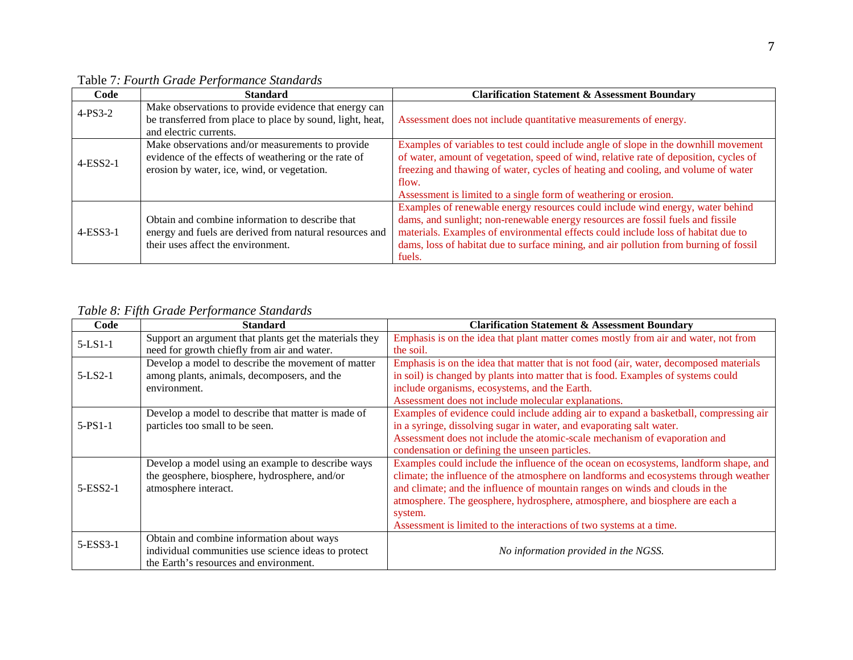| Code       | <b>Standard</b>                                           | <b>Clarification Statement &amp; Assessment Boundary</b>                              |
|------------|-----------------------------------------------------------|---------------------------------------------------------------------------------------|
| $4-PS3-2$  | Make observations to provide evidence that energy can     |                                                                                       |
|            | be transferred from place to place by sound, light, heat, | Assessment does not include quantitative measurements of energy.                      |
|            | and electric currents.                                    |                                                                                       |
|            | Make observations and/or measurements to provide          | Examples of variables to test could include angle of slope in the downhill movement   |
| $4-ESS2-1$ | evidence of the effects of weathering or the rate of      | of water, amount of vegetation, speed of wind, relative rate of deposition, cycles of |
|            | erosion by water, ice, wind, or vegetation.               | freezing and thawing of water, cycles of heating and cooling, and volume of water     |
|            |                                                           | flow.                                                                                 |
|            |                                                           | Assessment is limited to a single form of weathering or erosion.                      |
|            |                                                           | Examples of renewable energy resources could include wind energy, water behind        |
| $4-ESS3-1$ | Obtain and combine information to describe that           | dams, and sunlight; non-renewable energy resources are fossil fuels and fissile       |
|            | energy and fuels are derived from natural resources and   | materials. Examples of environmental effects could include loss of habitat due to     |
|            | their uses affect the environment.                        | dams, loss of habitat due to surface mining, and air pollution from burning of fossil |
|            |                                                           | fuels.                                                                                |

Table 7*: Fourth Grade Performance Standards*

*Table 8: Fifth Grade Performance Standards* 

| Code        | <b>Standard</b>                                        | <b>Clarification Statement &amp; Assessment Boundary</b>                               |
|-------------|--------------------------------------------------------|----------------------------------------------------------------------------------------|
| $5-LS1-1$   | Support an argument that plants get the materials they | Emphasis is on the idea that plant matter comes mostly from air and water, not from    |
|             | need for growth chiefly from air and water.            | the soil.                                                                              |
|             | Develop a model to describe the movement of matter     | Emphasis is on the idea that matter that is not food (air, water, decomposed materials |
| $5-LS2-1$   | among plants, animals, decomposers, and the            | in soil) is changed by plants into matter that is food. Examples of systems could      |
|             | environment.                                           | include organisms, ecosystems, and the Earth.                                          |
|             |                                                        | Assessment does not include molecular explanations.                                    |
|             | Develop a model to describe that matter is made of     | Examples of evidence could include adding air to expand a basketball, compressing air  |
| $5-PS1-1$   | particles too small to be seen.                        | in a syringe, dissolving sugar in water, and evaporating salt water.                   |
|             |                                                        | Assessment does not include the atomic-scale mechanism of evaporation and              |
|             |                                                        | condensation or defining the unseen particles.                                         |
|             | Develop a model using an example to describe ways      | Examples could include the influence of the ocean on ecosystems, landform shape, and   |
|             | the geosphere, biosphere, hydrosphere, and/or          | climate; the influence of the atmosphere on landforms and ecosystems through weather   |
| $5$ -ESS2-1 | atmosphere interact.                                   | and climate; and the influence of mountain ranges on winds and clouds in the           |
|             |                                                        | atmosphere. The geosphere, hydrosphere, atmosphere, and biosphere are each a           |
|             |                                                        | system.                                                                                |
|             |                                                        | Assessment is limited to the interactions of two systems at a time.                    |
| 5-ESS3-1    | Obtain and combine information about ways              |                                                                                        |
|             | individual communities use science ideas to protect    | No information provided in the NGSS.                                                   |
|             | the Earth's resources and environment.                 |                                                                                        |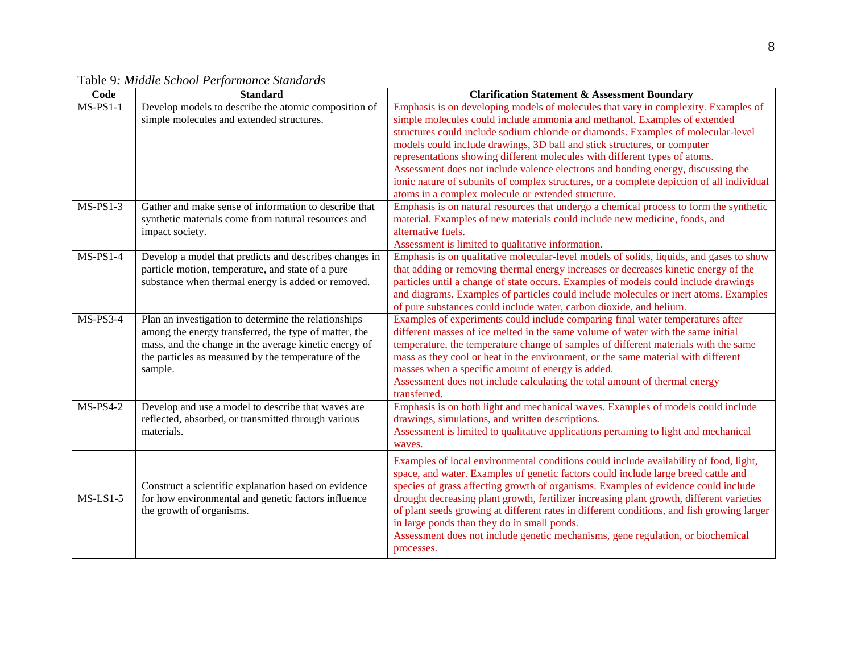| Code                   | <b>Standard</b>                                        | <b>Clarification Statement &amp; Assessment Boundary</b>                                   |
|------------------------|--------------------------------------------------------|--------------------------------------------------------------------------------------------|
| $\overline{MS}$ -PS1-1 | Develop models to describe the atomic composition of   | Emphasis is on developing models of molecules that vary in complexity. Examples of         |
|                        | simple molecules and extended structures.              | simple molecules could include ammonia and methanol. Examples of extended                  |
|                        |                                                        | structures could include sodium chloride or diamonds. Examples of molecular-level          |
|                        |                                                        | models could include drawings, 3D ball and stick structures, or computer                   |
|                        |                                                        | representations showing different molecules with different types of atoms.                 |
|                        |                                                        | Assessment does not include valence electrons and bonding energy, discussing the           |
|                        |                                                        | ionic nature of subunits of complex structures, or a complete depiction of all individual  |
|                        |                                                        | atoms in a complex molecule or extended structure.                                         |
| $MS-PS1-3$             | Gather and make sense of information to describe that  | Emphasis is on natural resources that undergo a chemical process to form the synthetic     |
|                        | synthetic materials come from natural resources and    | material. Examples of new materials could include new medicine, foods, and                 |
|                        | impact society.                                        | alternative fuels.                                                                         |
|                        |                                                        | Assessment is limited to qualitative information.                                          |
| $MS-PS1-4$             | Develop a model that predicts and describes changes in | Emphasis is on qualitative molecular-level models of solids, liquids, and gases to show    |
|                        | particle motion, temperature, and state of a pure      | that adding or removing thermal energy increases or decreases kinetic energy of the        |
|                        | substance when thermal energy is added or removed.     | particles until a change of state occurs. Examples of models could include drawings        |
|                        |                                                        | and diagrams. Examples of particles could include molecules or inert atoms. Examples       |
|                        |                                                        | of pure substances could include water, carbon dioxide, and helium.                        |
| $MS-PS3-4$             | Plan an investigation to determine the relationships   | Examples of experiments could include comparing final water temperatures after             |
|                        | among the energy transferred, the type of matter, the  | different masses of ice melted in the same volume of water with the same initial           |
|                        | mass, and the change in the average kinetic energy of  | temperature, the temperature change of samples of different materials with the same        |
|                        | the particles as measured by the temperature of the    | mass as they cool or heat in the environment, or the same material with different          |
|                        | sample.                                                | masses when a specific amount of energy is added.                                          |
|                        |                                                        | Assessment does not include calculating the total amount of thermal energy                 |
|                        |                                                        | transferred.                                                                               |
| $MS-PS4-2$             | Develop and use a model to describe that waves are     | Emphasis is on both light and mechanical waves. Examples of models could include           |
|                        | reflected, absorbed, or transmitted through various    | drawings, simulations, and written descriptions.                                           |
|                        | materials.                                             | Assessment is limited to qualitative applications pertaining to light and mechanical       |
|                        |                                                        | waves.                                                                                     |
|                        |                                                        | Examples of local environmental conditions could include availability of food, light,      |
|                        |                                                        | space, and water. Examples of genetic factors could include large breed cattle and         |
|                        | Construct a scientific explanation based on evidence   | species of grass affecting growth of organisms. Examples of evidence could include         |
| $MS-LS1-5$             | for how environmental and genetic factors influence    | drought decreasing plant growth, fertilizer increasing plant growth, different varieties   |
|                        | the growth of organisms.                               | of plant seeds growing at different rates in different conditions, and fish growing larger |
|                        |                                                        | in large ponds than they do in small ponds.                                                |
|                        |                                                        | Assessment does not include genetic mechanisms, gene regulation, or biochemical            |
|                        |                                                        | processes.                                                                                 |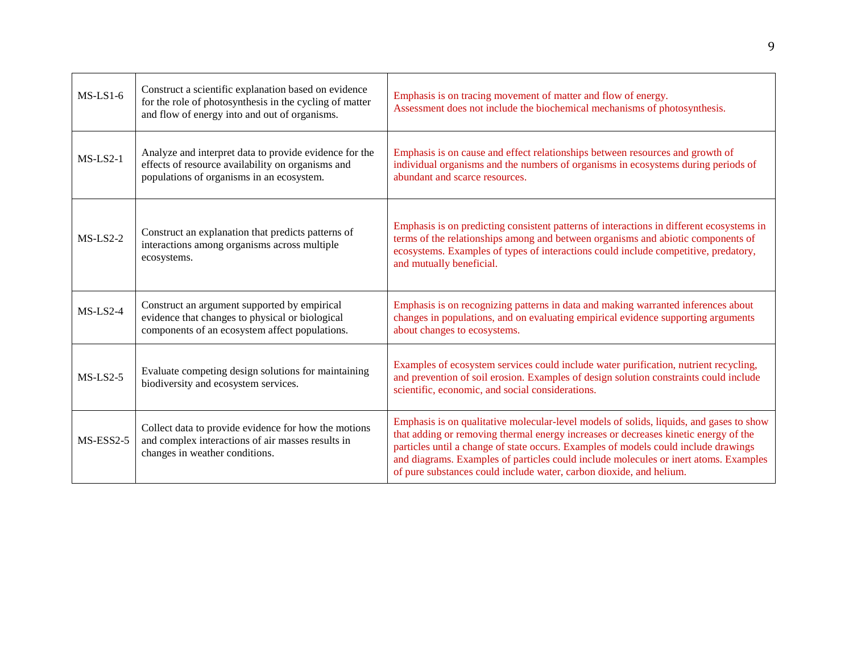| $MS-LS1-6$  | Construct a scientific explanation based on evidence<br>for the role of photosynthesis in the cycling of matter<br>and flow of energy into and out of organisms. | Emphasis is on tracing movement of matter and flow of energy.<br>Assessment does not include the biochemical mechanisms of photosynthesis.                                                                                                                                                                                                                                                                                           |
|-------------|------------------------------------------------------------------------------------------------------------------------------------------------------------------|--------------------------------------------------------------------------------------------------------------------------------------------------------------------------------------------------------------------------------------------------------------------------------------------------------------------------------------------------------------------------------------------------------------------------------------|
| $MS-LS2-1$  | Analyze and interpret data to provide evidence for the<br>effects of resource availability on organisms and<br>populations of organisms in an ecosystem.         | Emphasis is on cause and effect relationships between resources and growth of<br>individual organisms and the numbers of organisms in ecosystems during periods of<br>abundant and scarce resources.                                                                                                                                                                                                                                 |
| $MS-LS2-2$  | Construct an explanation that predicts patterns of<br>interactions among organisms across multiple<br>ecosystems.                                                | Emphasis is on predicting consistent patterns of interactions in different ecosystems in<br>terms of the relationships among and between organisms and abiotic components of<br>ecosystems. Examples of types of interactions could include competitive, predatory,<br>and mutually beneficial.                                                                                                                                      |
| $MS-LS2-4$  | Construct an argument supported by empirical<br>evidence that changes to physical or biological<br>components of an ecosystem affect populations.                | Emphasis is on recognizing patterns in data and making warranted inferences about<br>changes in populations, and on evaluating empirical evidence supporting arguments<br>about changes to ecosystems.                                                                                                                                                                                                                               |
| $MS-LS2-5$  | Evaluate competing design solutions for maintaining<br>biodiversity and ecosystem services.                                                                      | Examples of ecosystem services could include water purification, nutrient recycling,<br>and prevention of soil erosion. Examples of design solution constraints could include<br>scientific, economic, and social considerations.                                                                                                                                                                                                    |
| $MS-ESS2-5$ | Collect data to provide evidence for how the motions<br>and complex interactions of air masses results in<br>changes in weather conditions.                      | Emphasis is on qualitative molecular-level models of solids, liquids, and gases to show<br>that adding or removing thermal energy increases or decreases kinetic energy of the<br>particles until a change of state occurs. Examples of models could include drawings<br>and diagrams. Examples of particles could include molecules or inert atoms. Examples<br>of pure substances could include water, carbon dioxide, and helium. |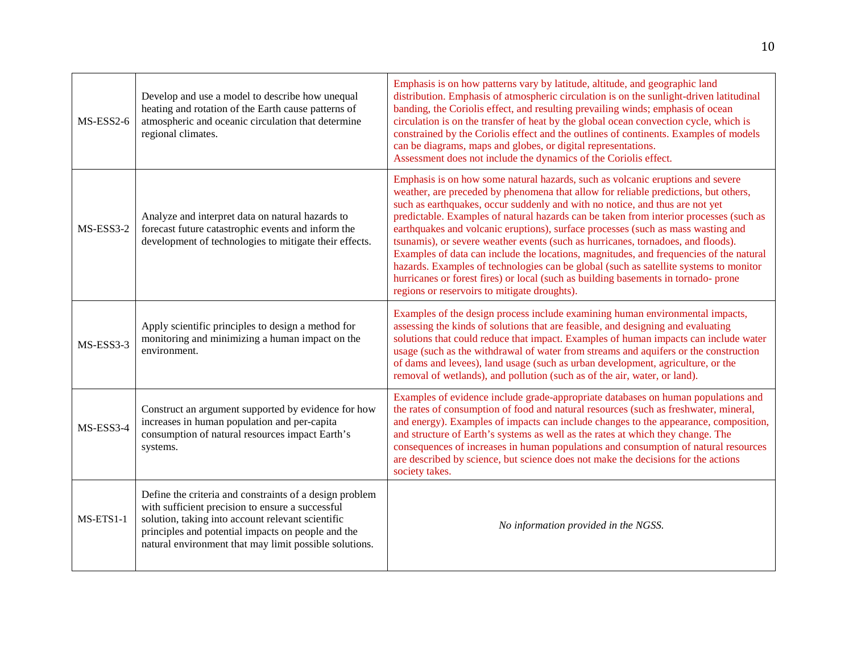| MS-ESS2-6   | Develop and use a model to describe how unequal<br>heating and rotation of the Earth cause patterns of<br>atmospheric and oceanic circulation that determine<br>regional climates.                                                                                               | Emphasis is on how patterns vary by latitude, altitude, and geographic land<br>distribution. Emphasis of atmospheric circulation is on the sunlight-driven latitudinal<br>banding, the Coriolis effect, and resulting prevailing winds; emphasis of ocean<br>circulation is on the transfer of heat by the global ocean convection cycle, which is<br>constrained by the Coriolis effect and the outlines of continents. Examples of models<br>can be diagrams, maps and globes, or digital representations.<br>Assessment does not include the dynamics of the Coriolis effect.                                                                                                                                                                                                                                                                 |
|-------------|----------------------------------------------------------------------------------------------------------------------------------------------------------------------------------------------------------------------------------------------------------------------------------|--------------------------------------------------------------------------------------------------------------------------------------------------------------------------------------------------------------------------------------------------------------------------------------------------------------------------------------------------------------------------------------------------------------------------------------------------------------------------------------------------------------------------------------------------------------------------------------------------------------------------------------------------------------------------------------------------------------------------------------------------------------------------------------------------------------------------------------------------|
| MS-ESS3-2   | Analyze and interpret data on natural hazards to<br>forecast future catastrophic events and inform the<br>development of technologies to mitigate their effects.                                                                                                                 | Emphasis is on how some natural hazards, such as volcanic eruptions and severe<br>weather, are preceded by phenomena that allow for reliable predictions, but others,<br>such as earthquakes, occur suddenly and with no notice, and thus are not yet<br>predictable. Examples of natural hazards can be taken from interior processes (such as<br>earthquakes and volcanic eruptions), surface processes (such as mass wasting and<br>tsunamis), or severe weather events (such as hurricanes, tornadoes, and floods).<br>Examples of data can include the locations, magnitudes, and frequencies of the natural<br>hazards. Examples of technologies can be global (such as satellite systems to monitor<br>hurricanes or forest fires) or local (such as building basements in tornado- prone<br>regions or reservoirs to mitigate droughts). |
| MS-ESS3-3   | Apply scientific principles to design a method for<br>monitoring and minimizing a human impact on the<br>environment.                                                                                                                                                            | Examples of the design process include examining human environmental impacts,<br>assessing the kinds of solutions that are feasible, and designing and evaluating<br>solutions that could reduce that impact. Examples of human impacts can include water<br>usage (such as the withdrawal of water from streams and aquifers or the construction<br>of dams and levees), land usage (such as urban development, agriculture, or the<br>removal of wetlands), and pollution (such as of the air, water, or land).                                                                                                                                                                                                                                                                                                                                |
| MS-ESS3-4   | Construct an argument supported by evidence for how<br>increases in human population and per-capita<br>consumption of natural resources impact Earth's<br>systems.                                                                                                               | Examples of evidence include grade-appropriate databases on human populations and<br>the rates of consumption of food and natural resources (such as freshwater, mineral,<br>and energy). Examples of impacts can include changes to the appearance, composition,<br>and structure of Earth's systems as well as the rates at which they change. The<br>consequences of increases in human populations and consumption of natural resources<br>are described by science, but science does not make the decisions for the actions<br>society takes.                                                                                                                                                                                                                                                                                               |
| $MS-ETS1-1$ | Define the criteria and constraints of a design problem<br>with sufficient precision to ensure a successful<br>solution, taking into account relevant scientific<br>principles and potential impacts on people and the<br>natural environment that may limit possible solutions. | No information provided in the NGSS.                                                                                                                                                                                                                                                                                                                                                                                                                                                                                                                                                                                                                                                                                                                                                                                                             |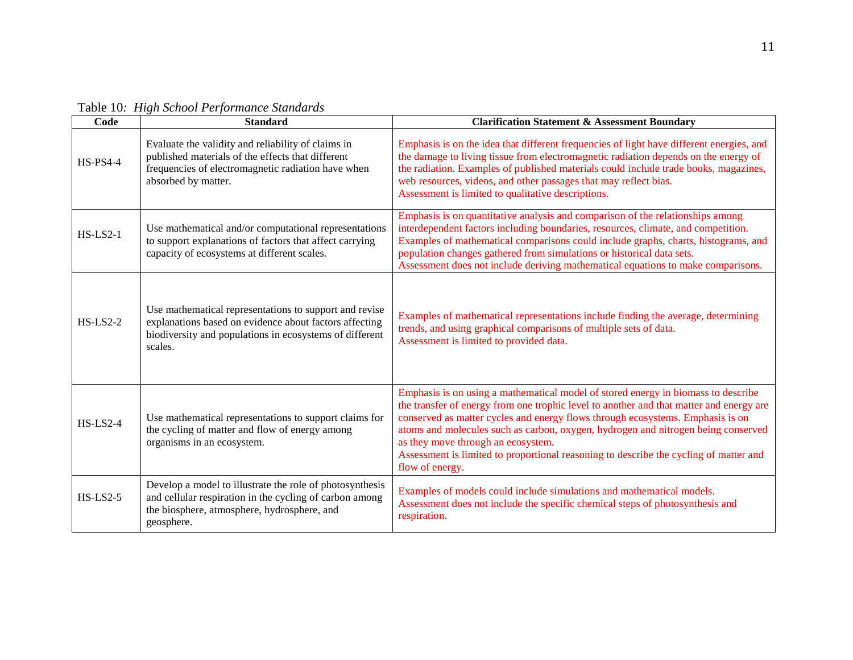| Code            | <b>Standard</b>                                                                                                                                                                        | <b>Clarification Statement &amp; Assessment Boundary</b>                                                                                                                                                                                                                                                                                                                                                                                                                                              |
|-----------------|----------------------------------------------------------------------------------------------------------------------------------------------------------------------------------------|-------------------------------------------------------------------------------------------------------------------------------------------------------------------------------------------------------------------------------------------------------------------------------------------------------------------------------------------------------------------------------------------------------------------------------------------------------------------------------------------------------|
| <b>HS-PS4-4</b> | Evaluate the validity and reliability of claims in<br>published materials of the effects that different<br>frequencies of electromagnetic radiation have when<br>absorbed by matter.   | Emphasis is on the idea that different frequencies of light have different energies, and<br>the damage to living tissue from electromagnetic radiation depends on the energy of<br>the radiation. Examples of published materials could include trade books, magazines,<br>web resources, videos, and other passages that may reflect bias.<br>Assessment is limited to qualitative descriptions.                                                                                                     |
| $HS$ -LS2-1     | Use mathematical and/or computational representations<br>to support explanations of factors that affect carrying<br>capacity of ecosystems at different scales.                        | Emphasis is on quantitative analysis and comparison of the relationships among<br>interdependent factors including boundaries, resources, climate, and competition.<br>Examples of mathematical comparisons could include graphs, charts, histograms, and<br>population changes gathered from simulations or historical data sets.<br>Assessment does not include deriving mathematical equations to make comparisons.                                                                                |
| $HS$ -LS2-2     | Use mathematical representations to support and revise<br>explanations based on evidence about factors affecting<br>biodiversity and populations in ecosystems of different<br>scales. | Examples of mathematical representations include finding the average, determining<br>trends, and using graphical comparisons of multiple sets of data.<br>Assessment is limited to provided data.                                                                                                                                                                                                                                                                                                     |
| $HS$ -LS2-4     | Use mathematical representations to support claims for<br>the cycling of matter and flow of energy among<br>organisms in an ecosystem.                                                 | Emphasis is on using a mathematical model of stored energy in biomass to describe<br>the transfer of energy from one trophic level to another and that matter and energy are<br>conserved as matter cycles and energy flows through ecosystems. Emphasis is on<br>atoms and molecules such as carbon, oxygen, hydrogen and nitrogen being conserved<br>as they move through an ecosystem.<br>Assessment is limited to proportional reasoning to describe the cycling of matter and<br>flow of energy. |
| $HS$ -LS2-5     | Develop a model to illustrate the role of photosynthesis<br>and cellular respiration in the cycling of carbon among<br>the biosphere, atmosphere, hydrosphere, and<br>geosphere.       | Examples of models could include simulations and mathematical models.<br>Assessment does not include the specific chemical steps of photosynthesis and<br>respiration.                                                                                                                                                                                                                                                                                                                                |

Table 10*: High School Performance Standards*